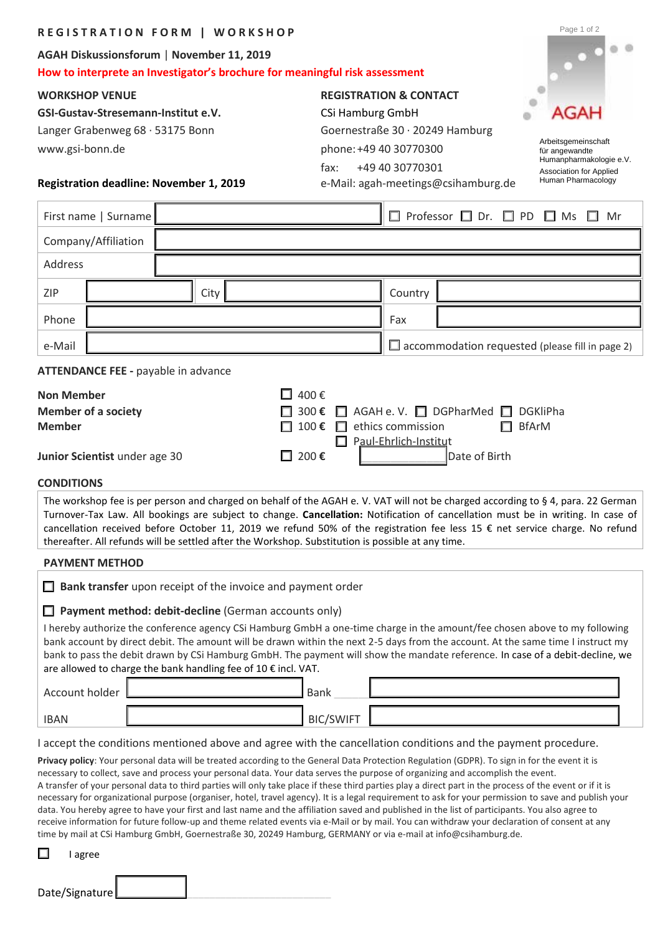| <b>REGISTRATION FORM   WORKSHOP</b>                                                                                                                                                                                                                                                                                                                                                                                                                                                                     |  |             |  |  |                                                                                                                                 |                                                                |                                        |                                   |                                                        |                                    |  | Page 1 of 2                                                                                                                                                                                                                                                                                                                                                                                                                                                                                                                                                                                                          |  |  |  |
|---------------------------------------------------------------------------------------------------------------------------------------------------------------------------------------------------------------------------------------------------------------------------------------------------------------------------------------------------------------------------------------------------------------------------------------------------------------------------------------------------------|--|-------------|--|--|---------------------------------------------------------------------------------------------------------------------------------|----------------------------------------------------------------|----------------------------------------|-----------------------------------|--------------------------------------------------------|------------------------------------|--|----------------------------------------------------------------------------------------------------------------------------------------------------------------------------------------------------------------------------------------------------------------------------------------------------------------------------------------------------------------------------------------------------------------------------------------------------------------------------------------------------------------------------------------------------------------------------------------------------------------------|--|--|--|
| AGAH Diskussionsforum   November 11, 2019                                                                                                                                                                                                                                                                                                                                                                                                                                                               |  |             |  |  |                                                                                                                                 |                                                                |                                        |                                   |                                                        |                                    |  |                                                                                                                                                                                                                                                                                                                                                                                                                                                                                                                                                                                                                      |  |  |  |
| How to interprete an Investigator's brochure for meaningful risk assessment                                                                                                                                                                                                                                                                                                                                                                                                                             |  |             |  |  |                                                                                                                                 |                                                                |                                        |                                   |                                                        |                                    |  |                                                                                                                                                                                                                                                                                                                                                                                                                                                                                                                                                                                                                      |  |  |  |
| <b>WORKSHOP VENUE</b>                                                                                                                                                                                                                                                                                                                                                                                                                                                                                   |  |             |  |  |                                                                                                                                 |                                                                |                                        | <b>REGISTRATION &amp; CONTACT</b> |                                                        |                                    |  |                                                                                                                                                                                                                                                                                                                                                                                                                                                                                                                                                                                                                      |  |  |  |
| GSI-Gustav-Stresemann-Institut e.V.                                                                                                                                                                                                                                                                                                                                                                                                                                                                     |  |             |  |  |                                                                                                                                 |                                                                | <b>CSi Hamburg GmbH</b>                |                                   |                                                        |                                    |  | <b>AGAH</b>                                                                                                                                                                                                                                                                                                                                                                                                                                                                                                                                                                                                          |  |  |  |
| Langer Grabenweg 68 · 53175 Bonn                                                                                                                                                                                                                                                                                                                                                                                                                                                                        |  |             |  |  |                                                                                                                                 | Goernestraße 30 · 20249 Hamburg                                |                                        |                                   |                                                        |                                    |  | Arbeitsgemeinschaft                                                                                                                                                                                                                                                                                                                                                                                                                                                                                                                                                                                                  |  |  |  |
| www.gsi-bonn.de                                                                                                                                                                                                                                                                                                                                                                                                                                                                                         |  |             |  |  |                                                                                                                                 | phone: +49 40 30770300                                         |                                        |                                   |                                                        |                                    |  | für angewandte<br>Humanpharmakologie e.V.                                                                                                                                                                                                                                                                                                                                                                                                                                                                                                                                                                            |  |  |  |
| Registration deadline: November 1, 2019                                                                                                                                                                                                                                                                                                                                                                                                                                                                 |  |             |  |  |                                                                                                                                 | +49 40 30770301<br>fax:<br>e-Mail: agah-meetings@csihamburg.de |                                        |                                   |                                                        |                                    |  | <b>Association for Applied</b><br>Human Pharmacology                                                                                                                                                                                                                                                                                                                                                                                                                                                                                                                                                                 |  |  |  |
| First name   Surname                                                                                                                                                                                                                                                                                                                                                                                                                                                                                    |  |             |  |  |                                                                                                                                 | $\Box$ Professor $\Box$ Dr. $\Box$ PD $\Box$ Ms $\Box$         |                                        |                                   |                                                        |                                    |  | Mr                                                                                                                                                                                                                                                                                                                                                                                                                                                                                                                                                                                                                   |  |  |  |
| Company/Affiliation                                                                                                                                                                                                                                                                                                                                                                                                                                                                                     |  |             |  |  |                                                                                                                                 |                                                                |                                        |                                   |                                                        |                                    |  |                                                                                                                                                                                                                                                                                                                                                                                                                                                                                                                                                                                                                      |  |  |  |
| <b>Address</b>                                                                                                                                                                                                                                                                                                                                                                                                                                                                                          |  |             |  |  |                                                                                                                                 |                                                                |                                        |                                   |                                                        |                                    |  |                                                                                                                                                                                                                                                                                                                                                                                                                                                                                                                                                                                                                      |  |  |  |
| ZIP                                                                                                                                                                                                                                                                                                                                                                                                                                                                                                     |  | City        |  |  |                                                                                                                                 |                                                                |                                        |                                   | Country                                                |                                    |  |                                                                                                                                                                                                                                                                                                                                                                                                                                                                                                                                                                                                                      |  |  |  |
| Phone                                                                                                                                                                                                                                                                                                                                                                                                                                                                                                   |  |             |  |  |                                                                                                                                 |                                                                |                                        | Fax                               |                                                        |                                    |  |                                                                                                                                                                                                                                                                                                                                                                                                                                                                                                                                                                                                                      |  |  |  |
| e-Mail                                                                                                                                                                                                                                                                                                                                                                                                                                                                                                  |  |             |  |  |                                                                                                                                 |                                                                |                                        |                                   | $\Box$ accommodation requested (please fill in page 2) |                                    |  |                                                                                                                                                                                                                                                                                                                                                                                                                                                                                                                                                                                                                      |  |  |  |
| <b>ATTENDANCE FEE - payable in advance</b>                                                                                                                                                                                                                                                                                                                                                                                                                                                              |  |             |  |  |                                                                                                                                 |                                                                |                                        |                                   |                                                        |                                    |  |                                                                                                                                                                                                                                                                                                                                                                                                                                                                                                                                                                                                                      |  |  |  |
| $\Box$ 400 €<br><b>Non Member</b>                                                                                                                                                                                                                                                                                                                                                                                                                                                                       |  |             |  |  |                                                                                                                                 |                                                                |                                        |                                   |                                                        |                                    |  |                                                                                                                                                                                                                                                                                                                                                                                                                                                                                                                                                                                                                      |  |  |  |
| <b>Member of a society</b>                                                                                                                                                                                                                                                                                                                                                                                                                                                                              |  |             |  |  |                                                                                                                                 | $\Box$ 300 €                                                   |                                        |                                   |                                                        | AGAH e. V. $\Box$ DGPharMed $\Box$ |  | <b>DGKliPha</b>                                                                                                                                                                                                                                                                                                                                                                                                                                                                                                                                                                                                      |  |  |  |
| <b>Member</b><br>□ 100 $\epsilon$<br>ethics commission<br><b>BfArM</b><br>П                                                                                                                                                                                                                                                                                                                                                                                                                             |  |             |  |  |                                                                                                                                 |                                                                |                                        |                                   |                                                        |                                    |  |                                                                                                                                                                                                                                                                                                                                                                                                                                                                                                                                                                                                                      |  |  |  |
| Junior Scientist under age 30                                                                                                                                                                                                                                                                                                                                                                                                                                                                           |  |             |  |  |                                                                                                                                 | □ 200 $\epsilon$                                               | Paul-Ehrlich-Institut<br>Date of Birth |                                   |                                                        |                                    |  |                                                                                                                                                                                                                                                                                                                                                                                                                                                                                                                                                                                                                      |  |  |  |
| <b>CONDITIONS</b>                                                                                                                                                                                                                                                                                                                                                                                                                                                                                       |  |             |  |  |                                                                                                                                 |                                                                |                                        |                                   |                                                        |                                    |  |                                                                                                                                                                                                                                                                                                                                                                                                                                                                                                                                                                                                                      |  |  |  |
| The workshop fee is per person and charged on behalf of the AGAH e. V. VAT will not be charged according to § 4, para. 22 German<br>Turnover-Tax Law. All bookings are subject to change. Cancellation: Notification of cancellation must be in writing. In case of<br>cancellation received before October 11, 2019 we refund 50% of the registration fee less 15 € net service charge. No refund<br>thereafter. All refunds will be settled after the Workshop. Substitution is possible at any time. |  |             |  |  |                                                                                                                                 |                                                                |                                        |                                   |                                                        |                                    |  |                                                                                                                                                                                                                                                                                                                                                                                                                                                                                                                                                                                                                      |  |  |  |
| <b>PAYMENT METHOD</b>                                                                                                                                                                                                                                                                                                                                                                                                                                                                                   |  |             |  |  |                                                                                                                                 |                                                                |                                        |                                   |                                                        |                                    |  |                                                                                                                                                                                                                                                                                                                                                                                                                                                                                                                                                                                                                      |  |  |  |
| Bank transfer upon receipt of the invoice and payment order                                                                                                                                                                                                                                                                                                                                                                                                                                             |  |             |  |  |                                                                                                                                 |                                                                |                                        |                                   |                                                        |                                    |  |                                                                                                                                                                                                                                                                                                                                                                                                                                                                                                                                                                                                                      |  |  |  |
| Payment method: debit-decline (German accounts only)<br>ш                                                                                                                                                                                                                                                                                                                                                                                                                                               |  |             |  |  |                                                                                                                                 |                                                                |                                        |                                   |                                                        |                                    |  |                                                                                                                                                                                                                                                                                                                                                                                                                                                                                                                                                                                                                      |  |  |  |
| I hereby authorize the conference agency CSi Hamburg GmbH a one-time charge in the amount/fee chosen above to my following<br>bank account by direct debit. The amount will be drawn within the next 2-5 days from the account. At the same time I instruct my<br>bank to pass the debit drawn by CSi Hamburg GmbH. The payment will show the mandate reference. In case of a debit-decline, we<br>are allowed to charge the bank handling fee of 10 € incl. VAT.                                       |  |             |  |  |                                                                                                                                 |                                                                |                                        |                                   |                                                        |                                    |  |                                                                                                                                                                                                                                                                                                                                                                                                                                                                                                                                                                                                                      |  |  |  |
| Account holder                                                                                                                                                                                                                                                                                                                                                                                                                                                                                          |  | <b>Bank</b> |  |  |                                                                                                                                 |                                                                |                                        |                                   |                                                        |                                    |  |                                                                                                                                                                                                                                                                                                                                                                                                                                                                                                                                                                                                                      |  |  |  |
| <b>IBAN</b>                                                                                                                                                                                                                                                                                                                                                                                                                                                                                             |  |             |  |  |                                                                                                                                 |                                                                | <b>BIC/SWIFT</b>                       |                                   |                                                        |                                    |  |                                                                                                                                                                                                                                                                                                                                                                                                                                                                                                                                                                                                                      |  |  |  |
| I accept the conditions mentioned above and agree with the cancellation conditions and the payment procedure.                                                                                                                                                                                                                                                                                                                                                                                           |  |             |  |  |                                                                                                                                 |                                                                |                                        |                                   |                                                        |                                    |  |                                                                                                                                                                                                                                                                                                                                                                                                                                                                                                                                                                                                                      |  |  |  |
|                                                                                                                                                                                                                                                                                                                                                                                                                                                                                                         |  |             |  |  | necessary to collect, save and process your personal data. Your data serves the purpose of organizing and accomplish the event. |                                                                |                                        |                                   |                                                        |                                    |  | Privacy policy: Your personal data will be treated according to the General Data Protection Regulation (GDPR). To sign in for the event it is<br>A transfer of your personal data to third parties will only take place if these third parties play a direct part in the process of the event or if it is<br>necessary for organizational purpose (organiser, hotel, travel agency). It is a legal requirement to ask for your permission to save and publish your<br>data. You hereby agree to have your first and last name and the affiliation saved and published in the list of participants. You also agree to |  |  |  |

receive information for future follow-up and theme related events via e-Mail or by mail. You can withdraw your declaration of consent at any time by mail at CSi Hamburg GmbH, Goernestraße 30, 20249 Hamburg, GERMANY or via e-mail at info@csihamburg.de.

 $\Box$  I agree

Date/Signature